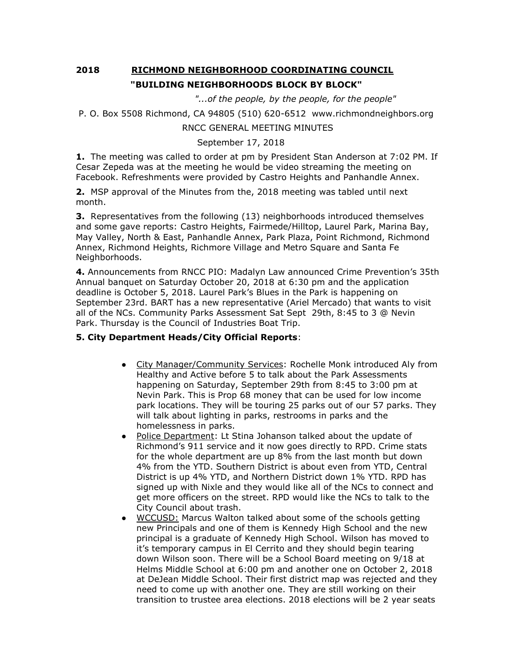# **2018 RICHMOND NEIGHBORHOOD COORDINATING COUNCIL "BUILDING NEIGHBORHOODS BLOCK BY BLOCK"**

 *"...of the people, by the people, for the people"*

```
P. O. Box 5508 Richmond, CA 94805 (510) 620-6512 www.richmondneighbors.org
```
## RNCC GENERAL MEETING MINUTES

### September 17, 2018

**1.** The meeting was called to order at pm by President Stan Anderson at 7:02 PM. If Cesar Zepeda was at the meeting he would be video streaming the meeting on Facebook. Refreshments were provided by Castro Heights and Panhandle Annex.

**2.** MSP approval of the Minutes from the, 2018 meeting was tabled until next month.

**3.** Representatives from the following (13) neighborhoods introduced themselves and some gave reports: Castro Heights, Fairmede/Hilltop, Laurel Park, Marina Bay, May Valley, North & East, Panhandle Annex, Park Plaza, Point Richmond, Richmond Annex, Richmond Heights, Richmore Village and Metro Square and Santa Fe Neighborhoods.

**4.** Announcements from RNCC PIO: Madalyn Law announced Crime Prevention's 35th Annual banquet on Saturday October 20, 2018 at 6:30 pm and the application deadline is October 5, 2018. Laurel Park's Blues in the Park is happening on September 23rd. BART has a new representative (Ariel Mercado) that wants to visit all of the NCs. Community Parks Assessment Sat Sept 29th, 8:45 to 3 @ Nevin Park. Thursday is the Council of Industries Boat Trip.

#### **5. City Department Heads/City Official Reports**:

- City Manager/Community Services: Rochelle Monk introduced Aly from Healthy and Active before 5 to talk about the Park Assessments happening on Saturday, September 29th from 8:45 to 3:00 pm at Nevin Park. This is Prop 68 money that can be used for low income park locations. They will be touring 25 parks out of our 57 parks. They will talk about lighting in parks, restrooms in parks and the homelessness in parks.
- Police Department: Lt Stina Johanson talked about the update of Richmond's 911 service and it now goes directly to RPD. Crime stats for the whole department are up 8% from the last month but down 4% from the YTD. Southern District is about even from YTD, Central District is up 4% YTD, and Northern District down 1% YTD. RPD has signed up with Nixle and they would like all of the NCs to connect and get more officers on the street. RPD would like the NCs to talk to the City Council about trash.
- WCCUSD: Marcus Walton talked about some of the schools getting new Principals and one of them is Kennedy High School and the new principal is a graduate of Kennedy High School. Wilson has moved to it's temporary campus in El Cerrito and they should begin tearing down Wilson soon. There will be a School Board meeting on 9/18 at Helms Middle School at 6:00 pm and another one on October 2, 2018 at DeJean Middle School. Their first district map was rejected and they need to come up with another one. They are still working on their transition to trustee area elections. 2018 elections will be 2 year seats